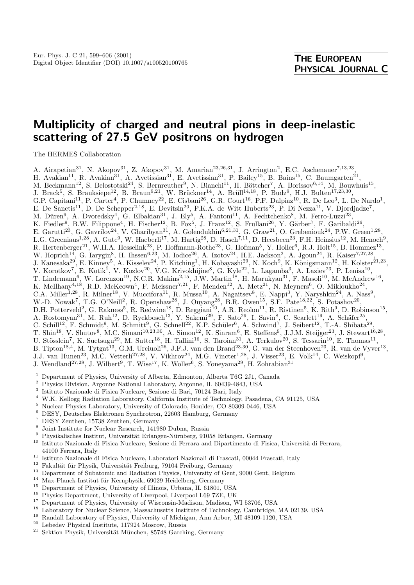# **Multiplicity of charged and neutral pions in deep-inelastic scattering of 27.5 GeV positrons on hydrogen**

The HERMES Collaboration

A. Airapetian<sup>31</sup>, N. Akopov<sup>31</sup>, Z. Akopov<sup>31</sup>, M. Amarian<sup>23,26,31</sup>, J. Arrington<sup>2</sup>, E.C. Aschenauer<sup>7,13,23</sup>, H. Avakian<sup>11</sup>, R. Avakian<sup>31</sup>, A. Avetissian<sup>31</sup>, E. Avetissian<sup>31</sup>, P. Bailey<sup>15</sup>, B. Bains<sup>15</sup>, C. Baumgarten<sup>21</sup>, M. Beckmann<sup>12</sup>, S. Belostotski<sup>24</sup>, S. Bernreuther<sup>9</sup>, N. Bianchi<sup>11</sup>, H. Böttcher<sup>7</sup>, A. Borissov<sup>6,14</sup>, M. Bouwhuis<sup>15</sup>, J. Brack<sup>5</sup>, S. Brauksiepe<sup>12</sup>, B. Braun<sup>9,21</sup>, W. Brückner<sup>14</sup>, A. Brüll<sup>14,18</sup>, P. Budz<sup>9</sup>, H.J. Bulten<sup>17,23,30</sup>, G.P. Capitani<sup>11</sup>, P. Carter<sup>4</sup>, P. Chumney<sup>22</sup>, E. Cisbani<sup>26</sup>, G.R. Court<sup>16</sup>, P.F. Dalpiaz<sup>10</sup>, R. De Leo<sup>3</sup>, L. De Nardo<sup>1</sup>, E. De Sanctis<sup>11</sup>, D. De Schepper<sup>2,18</sup>, E. Devitsin<sup>20</sup>, P.K.A. de Witt Huberts<sup>23</sup>, P. Di Nezza<sup>11</sup>, V. Djordjadze<sup>7</sup>, M. Düren<sup>9</sup>, A. Dvoredsky<sup>4</sup>, G. Elbakian<sup>31</sup>, J. Ely<sup>5</sup>, A. Fantoni<sup>11</sup>, A. Fechtchenko<sup>8</sup>, M. Ferro-Luzzi<sup>23</sup>, K. Fiedler<sup>9</sup>, B.W. Filippone<sup>4</sup>, H. Fischer<sup>12</sup>, B. Fox<sup>5</sup>, J. Franz<sup>12</sup>, S. Frullani<sup>26</sup>, Y. Gärber<sup>7</sup>, F. Garibaldi<sup>26</sup>, E. Garutti<sup>23</sup>, G. Gavrilov<sup>24</sup>, V. Gharibyan<sup>31</sup>, A. Golendukhin<sup>6,21,31</sup>, G. Graw<sup>21</sup>, O. Grebeniouk<sup>24</sup>, P.W. Green<sup>1,28</sup>, L.G. Greeniaus<sup>1,28</sup>, A. Gute<sup>9</sup>, W. Haeberli<sup>17</sup>, M. Hartig<sup>28</sup>, D. Hasch<sup>7,11</sup>, D. Heesbeen<sup>23</sup>, F.H. Heinsius<sup>12</sup>, M. Henoch<sup>9</sup>, R. Hertenberger<sup>21</sup>, W.H.A. Hesselink<sup>23</sup>, P. Hoffmann-Rothe<sup>23</sup>, G. Hofman<sup>5</sup>, Y. Holler<sup>6</sup>, R.J. Holt<sup>15</sup>, B. Hommez<sup>13</sup>, W. Hoprich<sup>14</sup>, G. Iarygin<sup>8</sup>, H. Ihssen<sup>6,23</sup>, M. Iodice<sup>26</sup>, A. Izotov<sup>24</sup>, H.E. Jackson<sup>2</sup>, A. Jgoun<sup>24</sup>, R. Kaiser<sup>7,27,28</sup>, J. Kanesaka<sup>29</sup>, E. Kinney<sup>5</sup>, A. Kisselev<sup>24</sup>, P. Kitching<sup>1</sup>, H. Kobayashi<sup>29</sup>, N. Koch<sup>9</sup>, K. Königsmann<sup>12</sup>, H. Kolster<sup>21,23</sup>, V. Korotkov<sup>7</sup>, E. Kotik<sup>1</sup>, V. Kozlov<sup>20</sup>, V.G. Krivokhijine<sup>8</sup>, G. Kyle<sup>22</sup>, L. Lagamba<sup>3</sup>, A. Laziev<sup>23</sup>, P. Lenisa<sup>10</sup>, T. Lindemann<sup>6</sup>, W. Lorenzon<sup>19</sup>, N.C.R. Makins<sup>2,15</sup>, J.W. Martin<sup>18</sup>, H. Marukyan<sup>31</sup>, F. Masoli<sup>10</sup>, M. McAndrew<sup>16</sup>, K. McIlhany<sup>4,18</sup>, R.D. McKeown<sup>4</sup>, F. Meissner<sup>7,21</sup>, F. Menden<sup>12</sup>, A. Metz<sup>21</sup>, N. Meyners<sup>6</sup>, O. Mikloukho<sup>24</sup>, C.A. Miller<sup>1,28</sup>, R. Milner<sup>18</sup>, V. Muccifora<sup>11</sup>, R. Mussa<sup>10</sup>, A. Nagaitsev<sup>8</sup>, E. Nappi<sup>3</sup>, Y. Naryshkin<sup>24</sup>, A. Nass<sup>9</sup>, W.-D. Nowak<sup>7</sup>, T.G. O'Neill<sup>2</sup>, R. Openshaw<sup>28</sup>, J. Ouyang<sup>28</sup>, B.R. Owen<sup>15</sup>, S.F. Pate<sup>18,22</sup>, S. Potashov<sup>20</sup>, D.H. Potterveld<sup>2</sup>, G. Rakness<sup>5</sup>, R. Redwine<sup>18</sup>, D. Reggiani<sup>10</sup>, A.R. Reolon<sup>11</sup>, R. Ristinen<sup>5</sup>, K. Rith<sup>9</sup>, D. Robinson<sup>15</sup>, A. Rostomyan<sup>31</sup>, M. Ruh<sup>12</sup>, D. Ryckbosch<sup>13</sup>, Y. Sakemi<sup>29</sup>, F. Sato<sup>29</sup>, I. Savin<sup>8</sup>, C. Scarlett<sup>19</sup>, A. Schäfer<sup>25</sup>, C. Schill<sup>12</sup>, F. Schmidt<sup>9</sup>, M. Schmitt<sup>9</sup>, G. Schnell<sup>22</sup>, K.P. Schüler<sup>6</sup>, A. Schwind<sup>7</sup>, J. Seibert<sup>12</sup>, T.-A. Shibata<sup>29</sup>, T. Shin<sup>18</sup>, V. Shutov<sup>8</sup>, M.C. Simani<sup>10,23,30</sup>, A. Simon<sup>12</sup>, K. Sinram<sup>6</sup>, E. Steffens<sup>9</sup>, J.J.M. Steijger<sup>23</sup>, J. Stewart<sup>16,28</sup>, U. Stösslein<sup>7</sup>, K. Suetsugu<sup>29</sup>, M. Sutter<sup>18</sup>, H. Tallini<sup>16</sup>, S. Taroian<sup>31</sup>, A. Terkulov<sup>20</sup>, S. Tessarin<sup>10</sup>, E. Thomas<sup>11</sup>, B. Tipton<sup>18,4</sup>, M. Tytgat<sup>13</sup>, G.M. Urciuoli<sup>26</sup>, J.F.J. van den Brand<sup>23,30</sup>, G. van der Steenhoven<sup>23</sup>, R. van de Vyver<sup>13</sup>, J.J. van Hunen<sup>23</sup>, M.C. Vetterli<sup>27,28</sup>, V. Vikhrov<sup>24</sup>, M.G. Vincter<sup>1,28</sup>, J. Visser<sup>23</sup>, E. Volk<sup>14</sup>, C. Weiskopf<sup>9</sup>, J. Wendland<sup>27,28</sup>, J. Wilbert<sup>9</sup>, T. Wise<sup>17</sup>, K. Woller<sup>6</sup>, S. Yoneyama<sup>29</sup>, H. Zohrabian<sup>31</sup>

- <sup>1</sup> Department of Physics, University of Alberta, Edmonton, Alberta T6G 2J1, Canada
- <sup>2</sup> Physics Division, Argonne National Laboratory, Argonne, IL 60439-4843, USA<br><sup>3</sup> Istituto Nazionale di Fisica Nucleare, Sezione di Bari, 70124 Bari, Italy
- <sup>3</sup> Istituto Nazionale di Fisica Nucleare, Sezione di Bari, 70124 Bari, Italy
- <sup>4</sup> W.K. Kellogg Radiation Laboratory, California Institute of Technology, Pasadena, CA 91125, USA
- <sup>5</sup> Nuclear Physics Laboratory, University of Colorado, Boulder, CO 80309-0446, USA
- <sup>6</sup> DESY, Deutsches Elektronen Synchrotron, 22603 Hamburg, Germany<br><sup>7</sup> DESY Zeuthen, 15738 Zeuthen, Germany
- <sup>7</sup> DESY Zeuthen, 15738 Zeuthen, Germany<br><sup>8</sup> Joint Institute for Nuclear Bessex h 1410
- <sup>8</sup> Joint Institute for Nuclear Research, 141980 Dubna, Russia
- $9$  Physikalisches Institut, Universität Erlangen-Nürnberg, 91058 Erlangen, Germany
- <sup>10</sup> Istituto Nazionale di Fisica Nucleare, Sezione di Ferrara and Dipartimento di Fisica, Università di Ferrara, 44100 Ferrara, Italy
- <sup>11</sup> Istituto Nazionale di Fisica Nucleare, Laboratori Nazionali di Frascati, 00044 Frascati, Italy
- $12$  Fakultät für Physik, Universität Freiburg, 79104 Freiburg, Germany
- <sup>13</sup> Department of Subatomic and Radiation Physics, University of Gent, 9000 Gent, Belgium
- $^{14}\,$  Max-Planck-Institut für Kernphysik, 69029 Heidelberg, Germany
- <sup>15</sup> Department of Physics, University of Illinois, Urbana, IL 61801, USA
- <sup>16</sup> Physics Department, University of Liverpool, Liverpool L69 7ZE, UK
- <sup>17</sup> Department of Physics, University of Wisconsin-Madison, Madison, WI 53706, USA
- <sup>18</sup> Laboratory for Nuclear Science, Massachusetts Institute of Technology, Cambridge, MA 02139, USA
- <sup>19</sup> Randall Laboratory of Physics, University of Michigan, Ann Arbor, MI 48109-1120, USA
- <sup>20</sup> Lebedev Physical Institute, 117924 Moscow, Russia
- $^{21}\,$  Sektion Physik, Universität München, 85748 Garching, Germany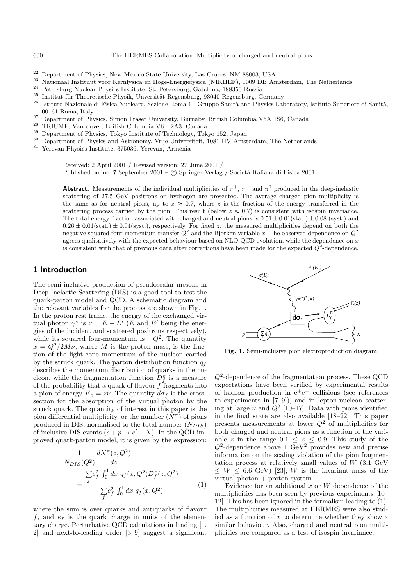- <sup>22</sup> Department of Physics, New Mexico State University, Las Cruces, NM 88003, USA<br><sup>23</sup> Nationaal Instituut voor Kernfysica en Hoge-Energiefysica (NIKHEF), 1009 DB Ar
- <sup>23</sup> Nationaal Instituut voor Kernfysica en Hoge-Energiefysica (NIKHEF), 1009 DB Amsterdam, The Netherlands<br><sup>24</sup> Petersburg Nuclear Physics Institute, St. Petersburg, Catchina, 188350 Bussia
- <sup>24</sup> Petersburg Nuclear Physics Institute, St. Petersburg, Gatchina, 188350 Russia<br><sup>25</sup> Institut für Theoretische Physik IInversität Regensburg, 93040 Regensburg, G
- <sup>25</sup> Institut für Theoretische Physik, Unversität Regensburg, 93040 Regensburg, Germany<br><sup>26</sup> Istituto Nazionale di Fisica Nucleare, Sezione Roma 1 Gruppo Sanità and Physics Lab
- Istituto Nazionale di Fisica Nucleare, Sezione Roma 1 Gruppo Sanità and Physics Laboratory, Istituto Superiore di Sanità, 00161 Roma, Italy
- <sup>27</sup> Department of Physics, Simon Fraser University, Burnaby, British Columbia V5A 1S6, Canada<br><sup>28</sup> TRHJME Venequer, British Columbia V6T 2A3, Canada
- <sup>28</sup> TRIUMF, Vancouver, British Columbia V6T 2A3, Canada<br><sup>29</sup> Department of Physics, Tokyo Institute of Technology, Tok
- <sup>29</sup> Department of Physics, Tokyo Institute of Technology, Tokyo 152, Japan<br><sup>30</sup> Department of Physics and Astronomy, Ville University 1081 HV Ameri
- $\frac{30}{31}$  Department of Physics and Astronomy, Vrije Universiteit, 1081 HV Amsterdam, The Netherlands<br> $\frac{31}{31}$  Verovan Physics Institute 375036 Verovan Armenia
- <sup>31</sup> Yerevan Physics Institute, 375036, Yerevan, Armenia

Received: 2 April 2001 / Revised version: 27 June 2001 / Published online: 7 September 2001 –  $\odot$  Springer-Verlag / Società Italiana di Fisica 2001

**Abstract.** Measurements of the individual multiplicities of  $\pi^+$ ,  $\pi^-$  and  $\pi^0$  produced in the deep-inelastic scattering of 27.5 GeV positrons on hydrogen are presented. The average charged pion multiplicity is the same as for neutral pions, up to  $z \approx 0.7$ , where z is the fraction of the energy transferred in the scattering process carried by the pion. This result (below  $z \approx 0.7$ ) is consistent with isospin invariance. The total energy fraction associated with charged and neutral pions is  $0.51 \pm 0.01$ (stat.)  $\pm 0.08$  (syst.) and  $0.26 \pm 0.01$ (stat.)  $\pm 0.04$ (syst.), respectively. For fixed z, the measured multiplicities depend on both the negative squared four momentum transfer  $Q^2$  and the Bjorken variable x. The observed dependence on  $Q^2$ agrees qualitatively with the expected behaviour based on NLO-QCD evolution, while the dependence on  $x$ is consistent with that of previous data after corrections have been made for the expected  $Q^2$ -dependence.

#### **1 Introduction**

The semi-inclusive production of pseudoscalar mesons in Deep-Inelastic Scattering (DIS) is a good tool to test the quark-parton model and QCD. A schematic diagram and the relevant variables for the process are shown in Fig. 1. In the proton rest frame, the energy of the exchanged virtual photon  $\gamma^*$  is  $\nu = E - E'$  (E and E' being the energies of the incident and scattered positrons respectively), while its squared four-momentum is  $-Q^2$ . The quantity  $x = Q^2/2M\nu$ , where M is the proton mass, is the fraction of the light-cone momentum of the nucleon carried by the struck quark. The parton distribution function  $q_f$ describes the momentum distribution of quarks in the nucleon, while the fragmentation function  $D_f^{\pi}$  is a measure of the probability that a quark of flavour  $f$  fragments into a pion of energy  $E_{\pi} = z\nu$ . The quantity  $d\sigma_f$  is the crosssection for the absorption of the virtual photon by the struck quark. The quantity of interest in this paper is the pion differential multiplicity, or the number  $(N^{\pi})$  of pions produced in DIS, normalised to the total number  $(N_{DIS})$ of inclusive DIS events  $(e + p \rightarrow e' + X)$ . In the QCD improved quark-parton model, it is given by the expression:

$$
\frac{1}{N_{DIS}(Q^2)} \frac{dN^{\pi}(z, Q^2)}{dz}
$$
\n
$$
= \frac{\sum e_f^2 \int_0^1 dx \, q_f(x, Q^2) D_f^{\pi}(z, Q^2)}{\sum_f e_f^2 \int_0^1 dx \, q_f(x, Q^2)},
$$
\n(1)

where the sum is over quarks and antiquarks of flavour f, and  $e_f$  is the quark charge in units of the elementary charge. Perturbative QCD calculations in leading [1, 2] and next-to-leading order [3–9] suggest a significant



**Fig. 1.** Semi-inclusive pion electroproduction diagram

 $Q^2$ -dependence of the fragmentation process. These QCD expectations have been verified by experimental results of hadron production in  $e^+e^-$  collisions (see references to experiments in [7–9]), and in lepton-nucleon scattering at large  $\nu$  and  $\dot{Q}^2$  [10–17]. Data with pions identified in the final state are also available [18–22]. This paper presents measurements at lower  $Q^2$  of multiplicities for both charged and neutral pions as a function of the variable z in the range  $0.1 \leq z \leq 0.9$ . This study of the  $Q^2$ -dependence above 1 GeV<sup>2</sup> provides new and precise information on the scaling violation of the pion fragmentation process at relatively small values of  $W$  (3.1 GeV)  $\leq W \leq 6.6$  GeV) [23]; W is the invariant mass of the virtual-photon + proton system.

Evidence for an additional  $x$  or  $W$  dependence of the multiplicities has been seen by previous experiments [10– 12]. This has been ignored in the formalism leading to (1). The multiplicities measured at HERMES were also studied as a function of  $x$  to determine whether they show a similar behaviour. Also, charged and neutral pion multiplicities are compared as a test of isospin invariance.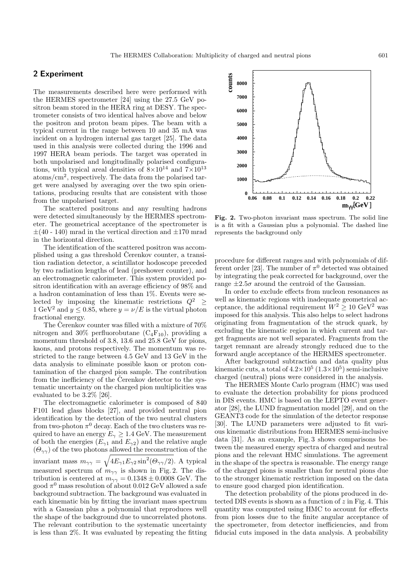### **2 Experiment**

The measurements described here were performed with the HERMES spectrometer [24] using the 27.5 GeV positron beam stored in the HERA ring at DESY. The spectrometer consists of two identical halves above and below the positron and proton beam pipes. The beam with a typical current in the range between 10 and 35 mA was incident on a hydrogen internal gas target [25]. The data used in this analysis were collected during the 1996 and 1997 HERA beam periods. The target was operated in both unpolarised and longitudinally polarised configurations, with typical areal densities of  $8\times10^{14}$  and  $7\times10^{13}$  $\text{atoms}/\text{cm}^2$ , respectively. The data from the polarised target were analysed by averaging over the two spin orientations, producing results that are consistent with those from the unpolarised target.

The scattered positrons and any resulting hadrons were detected simultaneously by the HERMES spectrometer. The geometrical acceptance of the spectrometer is  $\pm$ (40 - 140) mrad in the vertical direction and  $\pm$ 170 mrad in the horizontal direction.

The identification of the scattered positron was accomplished using a gas threshold Cerenkov counter, a transition radiation detector, a scintillator hodoscope preceded by two radiation lengths of lead (preshower counter), and an electromagnetic calorimeter. This system provided positron identification with an average efficiency of 98% and a hadron contamination of less than 1%. Events were selected by imposing the kinematic restrictions  $Q^2 \geq$ 1 GeV<sup>2</sup> and  $y \le 0.85$ , where  $y = \nu/E$  is the virtual photon fractional energy.

The Čerenkov counter was filled with a mixture of  $70\%$ nitrogen and 30% perfluorobutane  $(C_4F_{10})$ , providing a momentum threshold of 3.8, 13.6 and 25.8 GeV for pions, kaons, and protons respectively. The momentum was restricted to the range between 4.5 GeV and 13 GeV in the data analysis to eliminate possible kaon or proton contamination of the charged pion sample. The contribution from the inefficiency of the Cerenkov detector to the systematic uncertainty on the charged pion multiplicities was evaluated to be 3.2% [26].

The electromagnetic calorimeter is composed of 840 F101 lead glass blocks [27], and provided neutral pion identification by the detection of the two neutral clusters from two-photon  $\pi^0$  decay. Each of the two clusters was required to have an energy  $E_{\gamma} \geq 1.4 \text{ GeV}$ . The measurement of both the energies  $(\widetilde{E}_{\gamma1}$  and  $E_{\gamma2})$  and the relative angle  $(\Theta_{\gamma\gamma})$  of the two photons allowed the reconstruction of the invariant mass  $m_{\gamma\gamma} = \sqrt{4E_{\gamma1}E_{\gamma2}\sin^2(\Theta_{\gamma\gamma}/2)}$ . A typical measured spectrum of  $m_{\gamma\gamma}$  is shown in Fig. 2. The distribution is centered at  $m_{\gamma\gamma} = 0.1348 \pm 0.0008$  GeV. The good  $\pi^0$  mass resolution of about 0.012 GeV allowed a safe background subtraction. The background was evaluated in each kinematic bin by fitting the invariant mass spectrum with a Gaussian plus a polynomial that reproduces well the shape of the background due to uncorrelated photons. The relevant contribution to the systematic uncertainty is less than 2%. It was evaluated by repeating the fitting

**Fig. 2.** Two-photon invariant mass spectrum. The solid line is a fit with a Gaussian plus a polynomial. The dashed line represents the background only

procedure for different ranges and with polynomials of different order [23]. The number of  $\pi^0$  detected was obtained by integrating the peak corrected for background, over the range  $\pm 2.5\sigma$  around the centroid of the Gaussian.

In order to exclude effects from nucleon resonances as well as kinematic regions with inadequate geometrical acceptance, the additional requirement  $W^2 \geq 10 \text{ GeV}^2$  was imposed for this analysis. This also helps to select hadrons originating from fragmentation of the struck quark, by excluding the kinematic region in which current and target fragments are not well separated. Fragments from the target remnant are already strongly reduced due to the forward angle acceptance of the HERMES spectrometer.

After background subtraction and data quality plus kinematic cuts, a total of  $4.2 \times 10^5$  ( $1.3 \times 10^5$ ) semi-inclusive charged (neutral) pions were considered in the analysis.

The HERMES Monte Carlo program (HMC) was used to evaluate the detection probability for pions produced in DIS events. HMC is based on the LEPTO event generator [28], the LUND fragmentation model [29], and on the GEANT3 code for the simulation of the detector response [30]. The LUND parameters were adjusted to fit various kinematic distributions from HERMES semi-inclusive data [31]. As an example, Fig. 3 shows comparisons between the measured energy spectra of charged and neutral pions and the relevant HMC simulations. The agreement in the shape of the spectra is reasonable. The energy range of the charged pions is smaller than for neutral pions due to the stronger kinematic restriction imposed on the data to ensure good charged pion identification.

The detection probability of the pions produced in detected DIS events is shown as a function of  $z$  in Fig. 4. This quantity was computed using HMC to account for effects from pion losses due to the finite angular acceptance of the spectrometer, from detector inefficiencies, and from fiducial cuts imposed in the data analysis. A probability

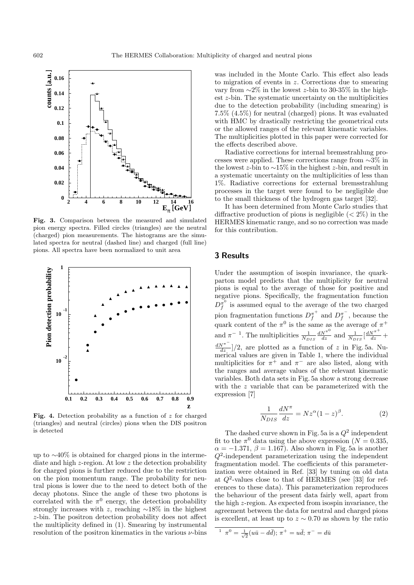

**Fig. 3.** Comparison between the measured and simulated pion energyspectra. Filled circles (triangles) are the neutral (charged) pion measurements. The histograms are the simulated spectra for neutral (dashed line) and charged (full line) pions. All spectra have been normalized to unit area



Fig. 4. Detection probability as a function of z for charged (triangles) and neutral (circles) pions when the DIS positron is detected

up to ∼40% is obtained for charged pions in the intermediate and high z-region. At low z the detection probability for charged pions is further reduced due to the restriction on the pion momentum range. The probability for neutral pions is lower due to the need to detect both of the decay photons. Since the angle of these two photons is correlated with the  $\pi^0$  energy, the detection probability strongly increases with z, reaching  $\sim$ 18% in the highest z-bin. The positron detection probability does not affect the multiplicity defined in (1). Smearing by instrumental resolution of the positron kinematics in the various  $\nu$ -bins was included in the Monte Carlo. This effect also leads to migration of events in z. Corrections due to smearing vary from ∼2% in the lowest z-bin to 30-35% in the highest z-bin. The systematic uncertainty on the multiplicities due to the detection probability (including smearing) is 7.5% (4.5%) for neutral (charged) pions. It was evaluated with HMC by drastically restricting the geometrical cuts or the allowed ranges of the relevant kinematic variables. The multiplicities plotted in this paper were corrected for the effects described above.

Radiative corrections for internal bremsstrahlung processes were applied. These corrections range from ∼3% in the lowest z-bin to ∼15% in the highest z-bin, and result in a systematic uncertainty on the multiplicities of less than 1%. Radiative corrections for external bremsstrahlung processes in the target were found to be negligible due to the small thickness of the hydrogen gas target [32].

It has been determined from Monte Carlo studies that diffractive production of pions is negligible  $(< 2\%)$  in the HERMES kinematic range, and so no correction was made for this contribution.

#### **3 Results**

Under the assumption of isospin invariance, the quarkparton model predicts that the multiplicity for neutral pions is equal to the average of those for positive and negative pions. Specifically, the fragmentation function  $D_f^{\pi^0}$  is assumed equal to the average of the two charged pion fragmentation functions  $D_f^{\pi^+}$  and  $D_f^{\pi^-}$ , because the quark content of the  $\pi^0$  is the same as the average of  $\pi^+$ and  $\pi^{-1}$ . The multiplicities  $\frac{1}{N_{DIS}} \frac{dN^{\pi^0}}{dz}$  and  $\frac{1}{N_{DIS}} \left[ \frac{dN^{\pi^+}}{dz} + \right]$  $\frac{dN^{\pi^-}}{dz}$  |/2, are plotted as a function of z in Fig. 5a. Numerical values are given in Table 1, where the individual multiplicities for  $\pi^+$  and  $\pi^-$  are also listed, along with the ranges and average values of the relevant kinematic variables. Both data sets in Fig. 5a show a strong decrease with the z variable that can be parameterized with the expression [7]

$$
\frac{1}{N_{DIS}} \frac{dN^{\pi}}{dz} = N z^{\alpha} (1 - z)^{\beta}.
$$
 (2)

The dashed curve shown in Fig. 5a is a  $Q^2$  independent fit to the  $\pi^0$  data using the above expression ( $N = 0.335$ ,  $\alpha = -1.371, \beta = 1.167$ . Also shown in Fig. 5a is another  $Q^2$ -independent parameterization using the independent fragmentation model. The coefficients of this parameterization were obtained in Ref. [33] by tuning on old data at  $Q^2$ -values close to that of HERMES (see [33] for references to these data). This parameterization reproduces the behaviour of the present data fairly well, apart from the high z-region. As expected from isospin invariance, the agreement between the data for neutral and charged pions is excellent, at least up to  $z \sim 0.70$  as shown by the ratio

$$
{}^{1} \pi^{0} = \frac{1}{\sqrt{2}} (u\bar{u} - d\bar{d}); \pi^{+} = u\bar{d}; \pi^{-} = d\bar{u}
$$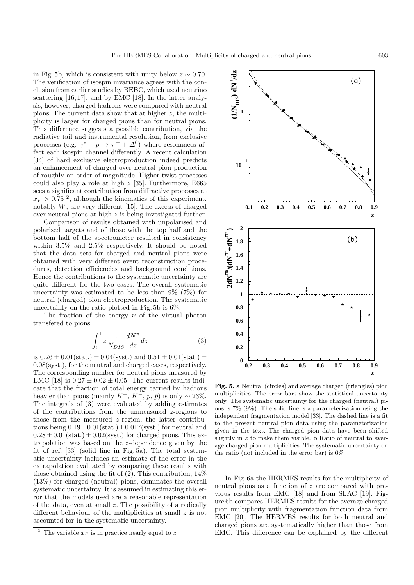in Fig. 5b, which is consistent with unity below  $z \sim 0.70$ . The verification of isospin invariance agrees with the conclusion from earlier studies by BEBC, which used neutrino scattering [16, 17], and by EMC [18]. In the latter analysis, however, charged hadrons were compared with neutral pions. The current data show that at higher z, the multiplicity is larger for charged pions than for neutral pions. This difference suggests a possible contribution, via the radiative tail and instrumental resolution, from exclusive processes (e.g.  $\gamma^* + p \to \pi^+ + \Delta^0$ ) where resonances affect each isospin channel differently. A recent calculation [34] of hard exclusive electroproduction indeed predicts an enhancement of charged over neutral pion production of roughly an order of magnitude. Higher twist processes could also play a role at high  $z$  [35]. Furthermore, E665 sees a significant contribution from diffractive processes at  $x_F > 0.75$ <sup>2</sup>, although the kinematics of this experiment, notably  $W$ , are very different [15]. The excess of charged over neutral pions at high z is being investigated further.

Comparison of results obtained with unpolarised and polarised targets and of those with the top half and the bottom half of the spectrometer resulted in consistency within 3.5% and 2.5% respectively. It should be noted that the data sets for charged and neutral pions were obtained with very different event reconstruction procedures, detection efficiencies and background conditions. Hence the contributions to the systematic uncertainty are quite different for the two cases. The overall systematic uncertainty was estimated to be less than 9% (7%) for neutral (charged) pion electroproduction. The systematic uncertainty on the ratio plotted in Fig. 5b is 6%.

The fraction of the energy  $\nu$  of the virtual photon transfered to pions

$$
\int_0^1 z \frac{1}{N_{DIS}} \frac{dN^{\pi}}{dz} dz
$$
 (3)

is  $0.26 \pm 0.01$ (stat.)  $\pm 0.04$ (syst.) and  $0.51 \pm 0.01$ (stat.)  $\pm$ 0.08(syst.), for the neutral and charged cases, respectively. The corresponding number for neutral pions measured by EMC [18] is  $0.27 \pm 0.02 \pm 0.05$ . The current results indicate that the fraction of total energy carried by hadrons heavier than pions (mainly  $K^+$ ,  $K^-$ ,  $p$ ,  $\bar{p}$ ) is only ~ 23%. The integrals of (3) were evaluated by adding estimates of the contributions from the unmeasured z-regions to those from the measured z-region, the latter contributions being  $0.19 \pm 0.01$  (stat.)  $\pm 0.017$  (syst.) for neutral and  $0.28 \pm 0.01$ (stat.)  $\pm 0.02$ (syst.) for charged pions. This extrapolation was based on the z-dependence given by the fit of ref. [33] (solid line in Fig. 5a). The total systematic uncertainty includes an estimate of the error in the extrapolation evaluated by comparing these results with those obtained using the fit of (2). This contribution, 14% (13%) for charged (neutral) pions, dominates the overall systematic uncertainty. It is assumed in estimating this error that the models used are a reasonable representation of the data, even at small z. The possibility of a radically different behaviour of the multiplicities at small z is not accounted for in the systematic uncertainty.



**Fig. 5. a** Neutral (circles) and average charged (triangles) pion multiplicities. The error bars show the statistical uncertainty only. The systematic uncertainty for the charged (neutral) pions is 7% (9%). The solid line is a parameterization using the independent fragmentation model [33]. The dashed line is a fit to the present neutral pion data using the parameterization given in the text. The charged pion data have been shifted slightly in  $z$  to make them visible. **b** Ratio of neutral to average charged pion multiplicities. The systematic uncertainty on the ratio (not included in the error bar) is 6%

In Fig. 6a the HERMES results for the multiplicity of neutral pions as a function of z are compared with previous results from EMC [18] and from SLAC [19]. Figure 6b compares HERMES results for the average charged pion multiplicity with fragmentation function data from EMC [20]. The HERMES results for both neutral and charged pions are systematically higher than those from EMC. This difference can be explained by the different

The variable  $x_F$  is in practice nearly equal to z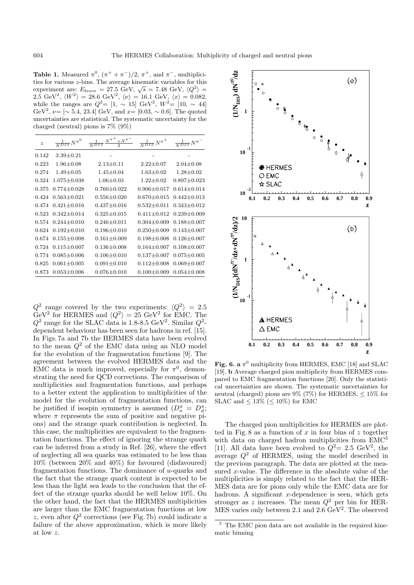**Table 1.** Measured  $\pi^0$ ,  $(\pi^+ + \pi^-)/2$ ,  $\pi^+$ , and  $\pi^-$ , multiplicities for various z-bins. The average kinematic variables for this experiment are:  $E_{beam} = 27.5 \text{ GeV}, \sqrt{s} = 7.48 \text{ GeV}, \langle Q^2 \rangle =$ 2.5 GeV<sup>2</sup>,  $\langle W^2 \rangle = 28.6 \text{ GeV}^2$ ,  $\langle \nu \rangle = 16.1 \text{ GeV}$ ,  $\langle x \rangle = 0.082$ , while the ranges are  $Q^2 = [1, \sim 15] \text{ GeV}^2$ ,  $W^2 = [10, \sim 44]$ GeV<sup>2</sup>,  $\nu = [\sim 5.4, 23.4]$  GeV, and  $x=[0.03, \sim 0.6]$ . The quoted uncertainties are statistical. The systematic uncertainty for the charged (neutral) pions is 7% (9%)

| $\boldsymbol{z}$ | $\frac{1}{N^{DIS}} N^{\pi^0}$ | $\frac{1}{NDIS}\frac{N^{\pi^+}+N^{\pi^-}}{2}$ | $\frac{1}{NDIS}N^{\pi^+}$ | $\frac{1}{N^{DIS}} N^{\pi}$ |
|------------------|-------------------------------|-----------------------------------------------|---------------------------|-----------------------------|
| 0.142            | $3.39 \pm 0.21$               |                                               |                           |                             |
| 0.223            | $1.96 \pm 0.08$               | $2.13 \pm 0.11$                               | $2.22 \pm 0.07$           | $2.04 \pm 0.08$             |
| 0.274            | $1.49 \pm 0.05$               | $1.45 \pm 0.04$                               | $1.63 \pm 0.02$           | $1.28 \pm 0.02$             |
| 0.324            | $1.075 \pm 0.038$             | $1.06 \pm 0.03$                               | $1.22 \pm 0.02$           | $0.897 \pm 0.023$           |
| 0.375            | $0.774 + 0.028$               | $0.760 + 0.022$                               | $0.906 \pm 0.017$         | $0.614 + 0.014$             |
| 0.424            | $0.563 + 0.021$               | $0.556 \pm 0.020$                             | $0.670 + 0.015$           | $0.442 + 0.013$             |
| 0.474            | $0.421 + 0.016$               | $0.437 \pm 0.016$                             | $0.532 \pm 0.011$         | $0.343 + 0.012$             |
| 0.523            | $0.342 + 0.014$               | $0.325 + 0.015$                               | $0.411 + 0.012$           | $0.239 \pm 0.009$           |
| 0.574            | $0.244 + 0.010$               | $0.246 + 0.011$                               | $0.304 \pm 0.009$         | $0.188 \pm 0.007$           |
| 0.624            | $0.192 \pm 0.010$             | $0.196 \pm 0.010$                             | $0.250 \pm 0.009$         | $0.143 \pm 0.007$           |
| 0.674            | $0.155 + 0.008$               | $0.161 + 0.009$                               | $0.198 + 0.008$           | $0.126 + 0.007$             |
| 0.724            | $0.115 + 0.007$               | $0.136 \pm 0.008$                             | $0.164 \pm 0.007$         | $0.108 \pm 0.007$           |
| 0.774            | $0.085 \pm 0.006$             | $0.106 \pm 0.010$                             | $0.137 \pm 0.007$         | $0.075 \pm 0.005$           |
| 0.825            | $0.061 \pm 0.005$             | $0.091 \pm 0.010$                             | $0.112 \pm 0.008$         | $0.069 \pm 0.007$           |
| 0.873            | $0.053 \pm 0.006$             | $0.076 \pm 0.010$                             | $0.100 \pm 0.009$         | $0.054 \pm 0.008$           |

 $Q^2$  range covered by the two experiments:  $\langle Q^2 \rangle = 2.5$ GeV<sup>2</sup> for HERMES and  $\langle Q^2 \rangle = 25$  GeV<sup>2</sup> for EMC. The  $Q^2$  range for the SLAC data is 1.8-8.5 GeV<sup>2</sup>. Similar  $Q^2$ dependent behaviour has been seen for hadrons in ref. [15]. In Figs. 7a and 7b the HERMES data have been evolved to the mean  $Q^2$  of the EMC data using an NLO model for the evolution of the fragmentation functions [9]. The agreement between the evolved HERMES data and the EMC data is much improved, especially for  $\pi^0$ , demonstrating the need for QCD corrections. The comparison of multiplicities and fragmentation functions, and perhaps to a better extent the application to multiplicities of the model for the evolution of fragmentation functions, can be justified if isospin symmetry is assumed  $(D_u^{\pi} = D_d^{\pi})$ ; where  $\pi$  represents the sum of positive and negative pions) and the strange quark contribution is neglected. In this case, the multiplicities are equivalent to the fragmentation functions. The effect of ignoring the strange quark can be inferred from a study in Ref. [26], where the effect of neglecting all sea quarks was estimated to be less than 10% (between 20% and 40%) for favoured (disfavoured) fragmentation functions. The dominance of u-quarks and the fact that the strange quark content is expected to be less than the light sea leads to the conclusion that the effect of the strange quarks should be well below 10%. On the other hand, the fact that the HERMES multiplicities are larger than the EMC fragmentation functions at low z, even after  $Q^2$  corrections (see Fig. 7b) could indicate a failure of the above approximation, which is more likely at low z.



**Fig. 6. a**  $\pi^0$  multiplicity from HERMES, EMC [18] and SLAC [19]. **b** Average charged pion multiplicity from HERMES compared to EMC fragmentation functions [20]. Onlythe statistical uncertainties are shown. The systematic uncertainties for neutral (charged) pions are  $9\%$  (7%) for HERMES,  $\leq 15\%$  for SLAC and  $\leq 13\%$  ( $\leq 10\%$ ) for EMC

The charged pion multiplicities for HERMES are plotted in Fig. 8 as a function of x in four bins of z together with data on charged hadron multiplicities from  $EMC<sup>3</sup>$ [11]. All data have been evolved to  $Q^2 = 2.5 \text{ GeV}^2$ , the average  $Q^2$  of HERMES, using the model described in the previous paragraph. The data are plotted at the measured  $x$ -value. The difference in the absolute value of the multiplicities is simply related to the fact that the HER-MES data are for pions only while the EMC data are for hadrons. A significant  $x$ -dependence is seen, which gets stronger as z increases. The mean  $Q^2$  per bin for HER-MES varies only between 2.1 and  $2.6 \text{ GeV}^2$ . The observed

<sup>3</sup> The EMC pion data are not available in the required kinematic binning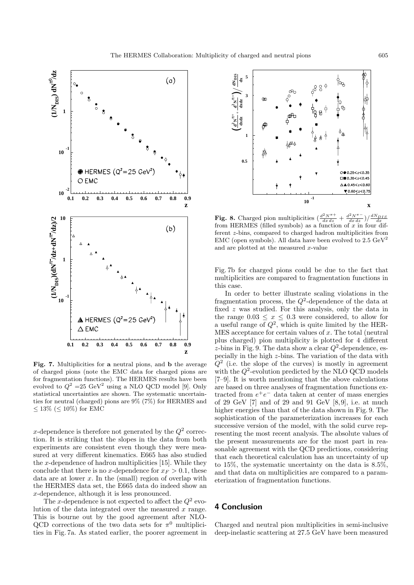

**Fig. 7.** Multiplicities for **a** neutral pions, and **b** the average of charged pions (note the EMC data for charged pions are for fragmentation functions). The HERMES results have been evolved to  $Q^2 = 25 \text{ GeV}^2$  using a NLO QCD model [9]. Only statistical uncertainties are shown. The systematic uncertainties for neutral (charged) pions are 9% (7%) for HERMES and ≤ 13% (≤ 10%) for EMC

x-dependence is therefore not generated by the  $Q^2$  correction. It is striking that the slopes in the data from both experiments are consistent even though they were measured at very different kinematics. E665 has also studied the x-dependence of hadron multiplicities [15]. While they conclude that there is no x-dependence for  $x_F > 0.1$ , these data are at lower  $x$ . In the (small) region of overlap with the HERMES data set, the E665 data do indeed show an x-dependence, although it is less pronounced.

The x-dependence is not expected to affect the  $Q^2$  evolution of the data integrated over the measured  $x$  range. This is bourne out by the good agreement after NLO-QCD corrections of the two data sets for  $\pi^0$  multiplicities in Fig. 7a. As stated earlier, the poorer agreement in



**Fig. 8.** Charged pion multiplicities  $\left(\frac{d^2 N^{\pi+}}{dx \, dz} + \frac{d^2 N^{\pi-}}{dx \, dx}\right) / \frac{dN_{DIS}}{dx}$  from HERMES (filled symbols) as a function of x in four different z-bins, compared to charged hadron multiplicities from EMC (open symbols). All data have been evolved to  $2.5 \text{ GeV}^2$ and are plotted at the measured  $x$ -value

Fig. 7b for charged pions could be due to the fact that multiplicities are compared to fragmentation functions in this case.

In order to better illustrate scaling violations in the fragmentation process, the  $Q^2$ -dependence of the data at fixed z was studied. For this analysis, only the data in the range  $0.03 \leq x \leq 0.3$  were considered, to allow for a useful range of  $Q^2$ , which is quite limited by the HER- $MES$  acceptance for certain values of x. The total (neutral plus charged) pion multiplicity is plotted for 4 different z-bins in Fig. 9. The data show a clear  $Q^2$ -dependence, especially in the high z-bins. The variation of the data with  $Q<sup>2</sup>$  (i.e. the slope of the curves) is mostly in agreement with the  $Q^2$ -evolution predicted by the NLO QCD models [7–9]. It is worth mentioning that the above calculations are based on three analyses of fragmentation functions extracted from  $e^+e^-$  data taken at center of mass energies of 29 GeV  $[7]$  and of 29 and 91 GeV  $[8, 9]$ , i.e. at much higher energies than that of the data shown in Fig. 9. The sophistication of the parameterization increases for each successive version of the model, with the solid curve representing the most recent analysis. The absolute values of the present measurements are for the most part in reasonable agreement with the QCD predictions, considering that each theoretical calculation has an uncertainty of up to 15%, the systematic uncertainty on the data is 8.5%, and that data on multiplicities are compared to a parameterization of fragmentation functions.

## **4 Conclusion**

Charged and neutral pion multiplicities in semi-inclusive deep-inelastic scattering at 27.5 GeV have been measured